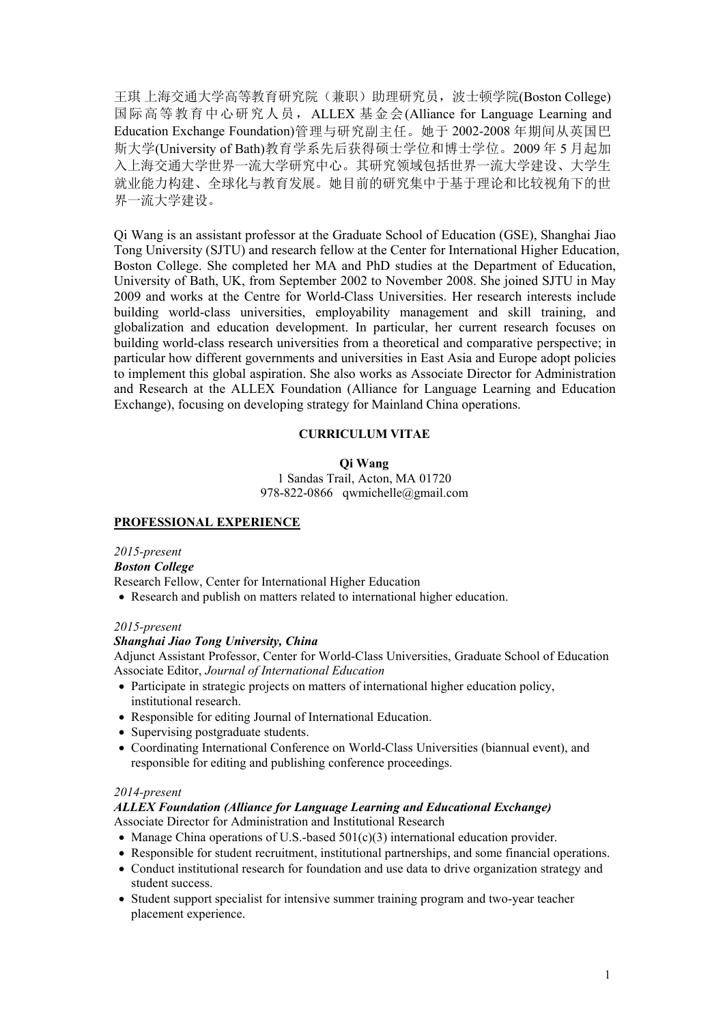王琪 上海交通大学高等教育研究院(兼职)助理研究员, 波士顿学院(Boston College) 国际高等教育中心研究人员,ALLEX 基金会(Alliance for Language Learning and Education Exchange Foundation)管理与研究副主任。她于 2002-2008 年期间从英国巴 斯大学(University of Bath)教育学系先后获得硕士学位和博士学位。2009 年 5 月起加 入上海交通大学世界一流大学研究中心。其研究领域包括世界一流大学建设、大学生 就业能力构建、全球化与教育发展。她目前的研究集中于基于理论和比较视角下的世 界一流大学建设。

Qi Wang is an assistant professor atthe Graduate School of Education (GSE), Shanghai Jiao Tong University (SJTU) and research fellow at the Center for International Higher Education, Boston College. She completed her MA and PhD studies at the Department of Education, University of Bath, UK, from September 2002 to November 2008. She joined SJTU in May 2009 and works at the Centre for World-Class Universities. Her research interests include building world-class universities, employability management and skill training, and globalization and education development. In particular, her current research focuses on building world-class research universities from a theoretical and comparative perspective; in particular how different governments and universities in East Asia and Europe adopt policies to implement this global aspiration. She also works as Associate Director for Administration and Research at the ALLEX Foundation (Alliance for Language Learning and Education Exchange), focusing on developing strategy for Mainland China operations.

# **CURRICULUM VITAE**

**Qi Wang**

1 Sandas Trail, Acton, MA 01720 978-822-0866 qwmichelle@gmail.com

### **PROFESSIONAL EXPERIENCE**

*2015-present Boston College* Research Fellow, Center for International Higher Education

Research and publish on matters related to international higher education.

### *2015-present*

### *Shanghai Jiao Tong University,China*

Adjunct Assistant Professor, Center for World-Class Universities, Graduate School of Education Associate Editor, *Journal of International Education*

- Participate in strategic projects on matters of international higher education policy, institutional research.
- Responsible for editing Journal of International Education.
- Supervising postgraduate students.
- Coordinating International Conference on World-Class Universities (biannual event), and responsible for editing and publishing conference proceedings.

### *2014-present*

### *ALLEX Foundation (Alliance for Language Learning and Educational Exchange)* Associate Director for Administration and Institutional Research

- Manage China operations of U.S.-based  $501(c)(3)$  international education provider.
- Responsible for student recruitment, institutional partnerships, and some financial operations.
- Conduct institutional research for foundation and use data to drive organization strategy and student success.
- Student support specialist for intensive summer training program and two-year teacher placement experience.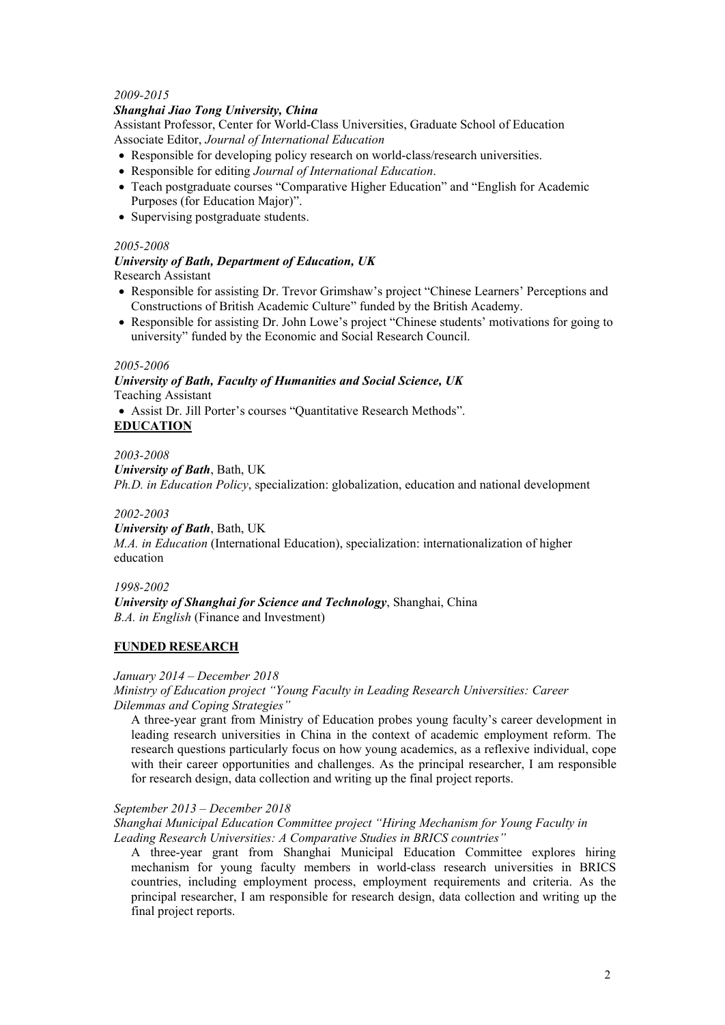# *2009-2015*

# *Shanghai Jiao Tong University,China*

Assistant Professor, Center for World-Class Universities, Graduate School of Education Associate Editor, *Journal of International Education*

- Responsible for developing policy research on world-class/research universities.
- Responsible for editing *Journal of International Education*.
- Teach postgraduate courses "Comparative Higher Education" and "English for Academic Purposes (for Education Major)".
- Supervising postgraduate students.

# *2005-2008*

## *University of Bath, Department of Education, UK* Research Assistant

- Responsible for assisting Dr. Trevor Grimshaw's project "Chinese Learners' Perceptions and Constructions of British Academic Culture" funded by the British Academy.
- Responsible for assisting Dr. John Lowe's project "Chinese students' motivations for going to university" funded by the Economic and Social Research Council.

### *2005-2006*

# *University of Bath, Faculty of Humanities and Social Science, UK* Teaching Assistant

 Assist Dr. Jill Porter's courses "Quantitative Research Methods". **EDUCATION**

*2003-2008 University of Bath*, Bath, UK *Ph.D. in Education Policy*, specialization: globalization, education and national development

# *2002-2003*

### *University of Bath*, Bath, UK

*M.A. in Education* (International Education), specialization: internationalization of higher education

*1998-2002*

*University of Shanghai for Science and Technology*, Shanghai, China *B.A. in English* (Finance and Investment)

# **FUNDED RESEARCH**

### *January 2014 – December 2018*

*Ministry of Education project "Young Faculty in Leading Research Universities: Career Dilemmas and Coping Strategies"*

A three-year grant from Ministry of Education probes young faculty's career development in leading research universities in China in the context of academic employment reform. The research questions particularly focus on how young academics, as a reflexive individual, cope with their career opportunities and challenges. As the principal researcher, I am responsible for research design, data collection and writing up the final project reports.

### *September 2013 – December 2018*

*Shanghai Municipal Education Committee project "Hiring Mechanism for YoungFaculty in Leading Research Universities: A Comparative Studies in BRICS countries"*

A three-year grant from Shanghai Municipal Education Committee explores hiring mechanism for young faculty members in world-class research universities in BRICS countries, including employment process, employment requirements and criteria. As the principal researcher, I am responsible for research design, data collection and writing up the final project reports.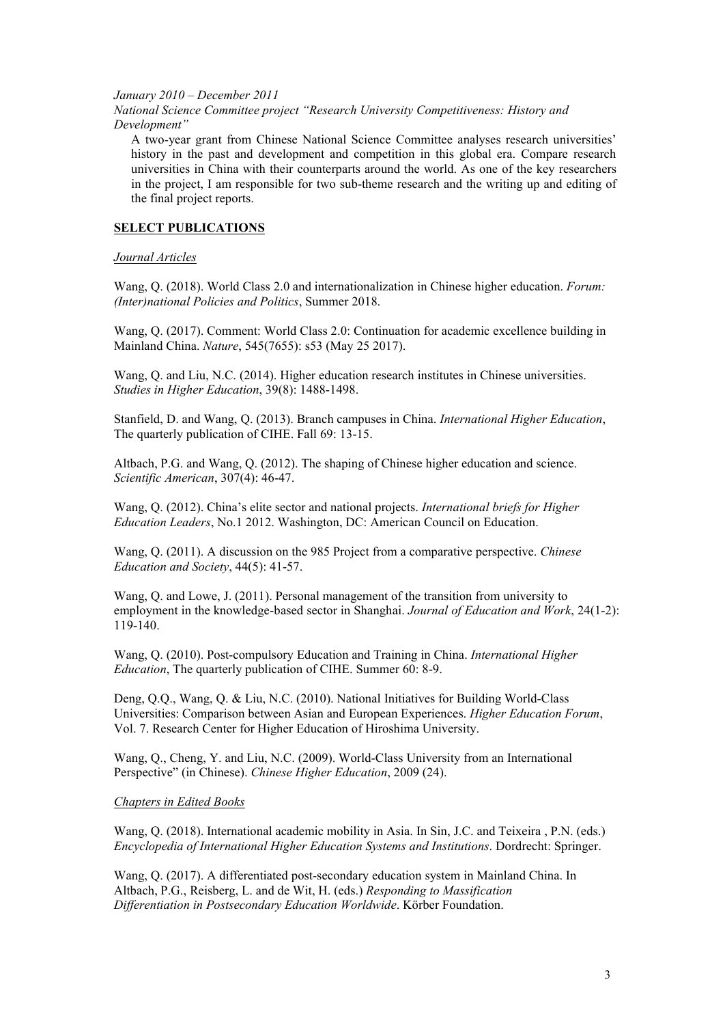#### *January 2010 – December 2011*

*National Science Committee project "Research University Competitiveness: History and Development"*

A two-year grant from Chinese National Science Committee analyses research universities' history in the past and development and competition in this global era. Compare research universities in China with their counterparts around the world. As one of the key researchers in the project, I am responsible for two sub-theme research and the writing up and editing of the final project reports.

## **SELECT PUBLICATIONS**

## *Journal Articles*

Wang, Q. (2018). World Class 2.0 and internationalization in Chinese higher education. *Forum: (Inter)national Policies and Politics*, Summer 2018.

Wang, Q. (2017). Comment: World Class 2.0: Continuation for academic excellence building in Mainland China. *Nature*, 545(7655): s53 (May 25 2017).

Wang, Q. and Liu, N.C. (2014). Higher education research institutes in Chinese universities. *Studies in Higher Education*, 39(8): 1488-1498.

Stanfield, D. and Wang, Q. (2013). Branch campuses in China. *International Higher Education*, The quarterly publication of CIHE. Fall 69: 13-15.

Altbach, P.G. and Wang, Q. (2012). The shaping of Chinese higher education and science. *Scientific American*, 307(4): 46-47.

Wang, Q. (2012). China's elite sector and national projects. *International briefs for Higher Education Leaders*, No.1 2012. Washington, DC: American Council on Education.

Wang, Q. (2011). A discussion on the 985 Project from a comparative perspective. *Chinese Education and Society*, 44(5): 41-57.

Wang, Q. and Lowe, J. (2011). Personal management of the transition from university to employment in the knowledge-based sector in Shanghai. *Journal of Education and Work*, 24(1-2): 119-140.

Wang, Q. (2010). Post-compulsory Education and Training in China. *International Higher Education*, The quarterly publication of CIHE. Summer 60: 8-9.

Deng, Q.Q., Wang, Q. & Liu, N.C. (2010). National Initiatives for Building World-Class Universities: Comparison between Asian and European Experiences. *Higher Education Forum*, Vol. 7. Research Center for Higher Education of Hiroshima University.

Wang, Q., Cheng, Y. and Liu, N.C. (2009). World-Class University from an International Perspective" (in Chinese). *Chinese Higher Education*, 2009 (24).

### *Chapters in Edited Books*

Wang, Q. (2018). International academic mobility in Asia. In Sin, J.C. and Teixeira , P.N. (eds.) *Encyclopedia of International Higher Education Systems and Institutions*. Dordrecht: Springer.

Wang, Q. (2017). A differentiated post-secondary education system in Mainland China. In Altbach, P.G., Reisberg, L. and de Wit, H. (eds.) *Responding to Massification Differentiation in Postsecondary Education Worldwide.* **Körber Foundation.**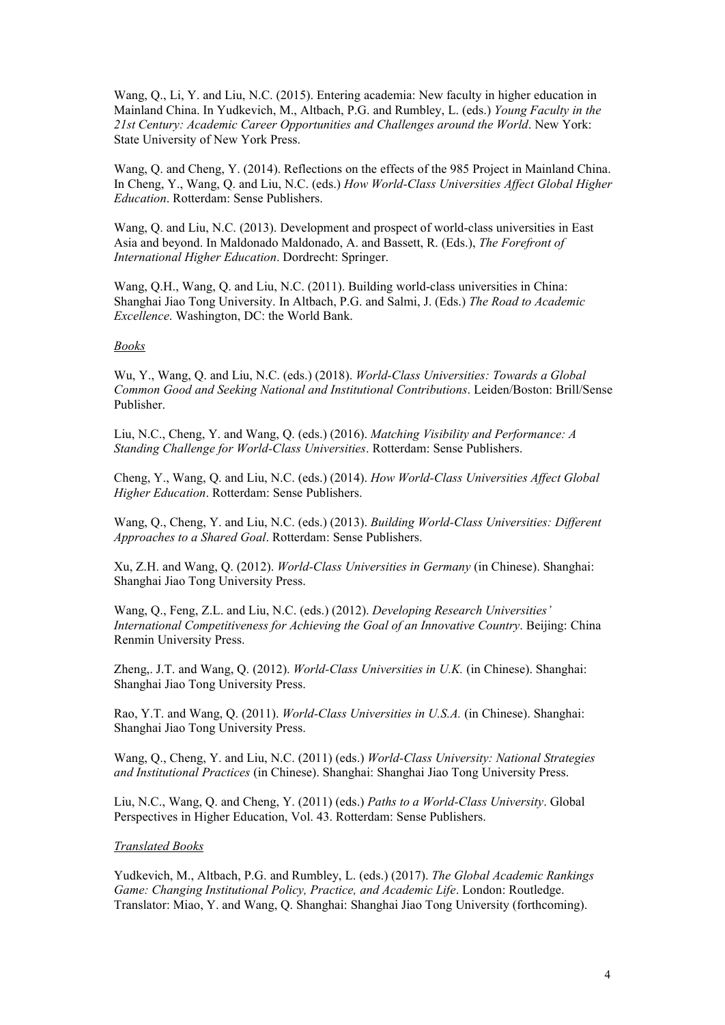Wang, Q., Li, Y. and Liu, N.C. (2015). Entering academia: New faculty in higher education in Mainland China. In Yudkevich, M., Altbach, P.G. and Rumbley, L. (eds.) *Young Faculty in the 21st Century: Academic Career Opportunities and Challenges around the World*. New York: State University of New York Press.

Wang, Q. and Cheng, Y. (2014). Reflections on the effects of the 985 Project in Mainland China. In Cheng, Y., Wang, Q. and Liu, N.C. (eds.) *How World-Class Universities Affect Global Higher Education*. Rotterdam: Sense Publishers.

Wang, Q. and Liu, N.C. (2013). Development and prospect of world-class universities in East Asia and beyond. In Maldonado Maldonado, A. and Bassett, R. (Eds.), *The Forefront of International Higher Education*. Dordrecht: Springer.

Wang, Q.H., Wang, Q. and Liu, N.C. (2011). Building world-class universities in China: Shanghai Jiao Tong University.In Altbach, P.G. and Salmi, J. (Eds.) *The Road to Academic Excellence*. Washington, DC: the World Bank.

#### *Books*

Wu, Y., Wang, Q. and Liu, N.C. (eds.) (2018). *World-Class Universities: Towards a Global Common Good and Seeking National and Institutional Contributions*. Leiden/Boston: Brill/Sense Publisher.

Liu, N.C., Cheng, Y. and Wang, Q. (eds.) (2016). *Matching Visibility and Performance: A Standing Challenge for World-Class Universities*. Rotterdam: Sense Publishers.

Cheng, Y., Wang, Q. and Liu, N.C. (eds.) (2014). *How World-Class Universities Af ect Global Higher Education*. Rotterdam: Sense Publishers.

Wang, Q., Cheng, Y. and Liu, N.C. (eds.) (2013). *Building World-Class Universities: Dif erent Approaches to a Shared Goal*. Rotterdam: Sense Publishers.

Xu, Z.H. and Wang, Q. (2012). *World-Class Universities in Germany* (in Chinese). Shanghai: Shanghai Jiao Tong University Press.

Wang, Q., Feng, Z.L. and Liu, N.C. (eds.) (2012). *Developing Research Universities' International Competitiveness for Achieving the Goal of an Innovative Country*. Beijing: China Renmin University Press.

Zheng,. J.T. and Wang, Q. (2012). *World-Class Universities in U.K.* (in Chinese). Shanghai: Shanghai Jiao Tong University Press.

Rao, Y.T. and Wang, Q. (2011). *World-Class Universities in U.S.A.* (in Chinese). Shanghai: Shanghai Jiao Tong University Press.

Wang, Q., Cheng, Y. and Liu, N.C. (2011) (eds.) *World-Class University: National Strategies and Institutional Practices* (in Chinese). Shanghai: Shanghai Jiao Tong University Press.

Liu, N.C., Wang, Q. and Cheng, Y. (2011) (eds.) *Paths to a World-Class University*. Global Perspectives in Higher Education, Vol. 43. Rotterdam: Sense Publishers.

#### *Translated Books*

Yudkevich, M., Altbach, P.G. and Rumbley, L. (eds.) (2017). *The Global Academic Rankings Game: Changing Institutional Policy, Practice, and Academic Life*. London: Routledge. Translator: Miao, Y. and Wang, Q. Shanghai: Shanghai Jiao Tong University (forthcoming).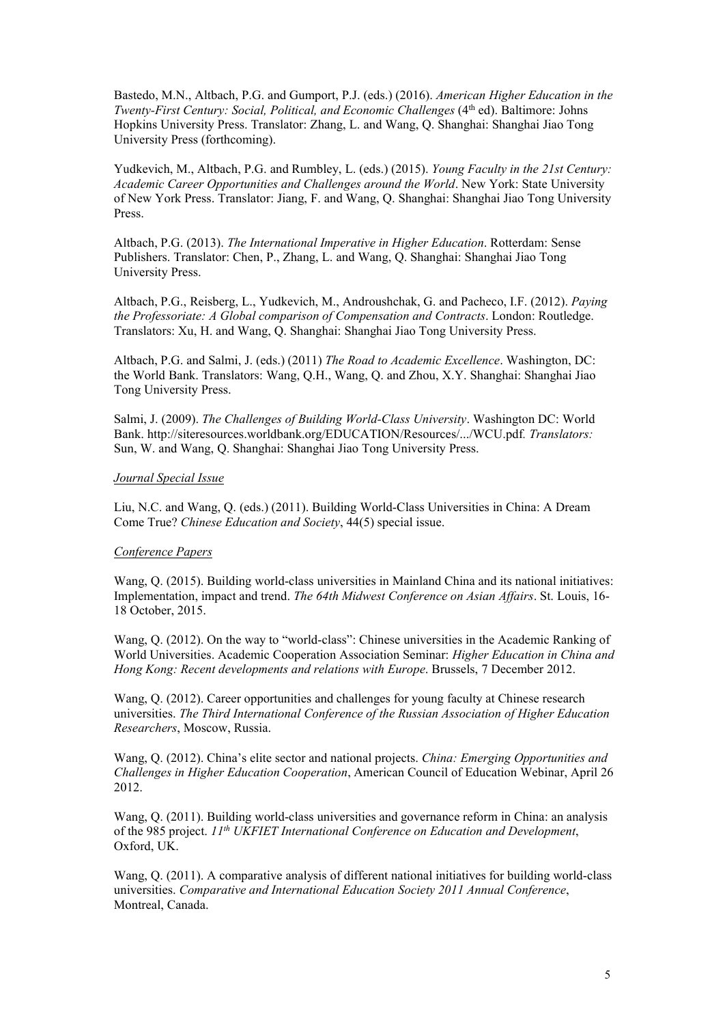Bastedo, M.N., Altbach, P.G. and Gumport, P.J. (eds.) (2016). *American Higher Education in the Twenty-First Century: Social, Political, and Economic Challenges* (4 th ed). Baltimore: Johns Hopkins University Press. Translator: Zhang, L. and Wang, Q. Shanghai: Shanghai Jiao Tong University Press (forthcoming).

Yudkevich, M., Altbach, P.G. and Rumbley, L. (eds.) (2015). *Young Faculty in the 21st Century: Academic Career Opportunities and Challenges around the World*. New York: State University of New York Press. Translator: Jiang, F. and Wang, Q. Shanghai: Shanghai Jiao Tong University Press.

Altbach, P.G. (2013). *The International Imperative in Higher Education*. Rotterdam: Sense Publishers. Translator: Chen, P., Zhang, L. and Wang, Q. Shanghai: Shanghai Jiao Tong University Press.

Altbach, P.G., Reisberg, L., Yudkevich, M., Androushchak, G. and Pacheco, I.F. (2012). *Paying the Professoriate: A Global comparison of Compensation and Contracts*. London: Routledge. Translators: Xu, H. and Wang, Q. Shanghai: Shanghai Jiao Tong University Press.

Altbach, P.G. and Salmi, J. (eds.) (2011) *The Road to Academic Excellence*. Washington, DC: the World Bank. Translators: Wang, Q.H., Wang, Q. and Zhou, X.Y. Shanghai: Shanghai Jiao Tong University Press.

Salmi, J. (2009). *The Challenges of Building World-Class University*. Washington DC: World Bank. http://siteresources.worldbank.org/EDUCATION/Resources/.../WCU.pdf*. Translators:* Sun, W. and Wang, Q. Shanghai: Shanghai Jiao Tong University Press.

#### *Journal Special Issue*

Liu, N.C. and Wang, Q. (eds.) (2011). Building World-Class Universities in China: A Dream Come True? *Chinese Education and Society*, 44(5) special issue.

### *Conference Papers*

Wang, Q. (2015). Building world-class universities in Mainland China and its national initiatives: Implementation, impact and trend. *The 64th Midwest Conference on Asian Af airs*. St. Louis, 16- 18 October, 2015.

Wang, Q. (2012). On the way to "world-class": Chinese universities in the Academic Ranking of World Universities. Academic Cooperation Association Seminar: *Higher Education in China and Hong Kong: Recent developments and relations with Europe*. Brussels, 7 December 2012.

Wang, Q. (2012). Career opportunities and challenges for young faculty at Chinese research universities. *The Third International Conference of the Russian Association of Higher Education Researchers*, Moscow, Russia.

Wang, Q. (2012). China's elite sector and national projects. *China: Emerging Opportunities and Challenges in Higher Education Cooperation*, American Council of Education Webinar, April 26 2012.

Wang, Q. (2011). Building world-class universities and governance reform in China: an analysis of the 985 project. *11 th UKFIET International Conference on Education and Development*, Oxford, UK.

Wang, Q. (2011). A comparative analysis of different national initiatives for building world-class universities. *Comparative and International Education Society 2011 Annual Conference*, Montreal, Canada.